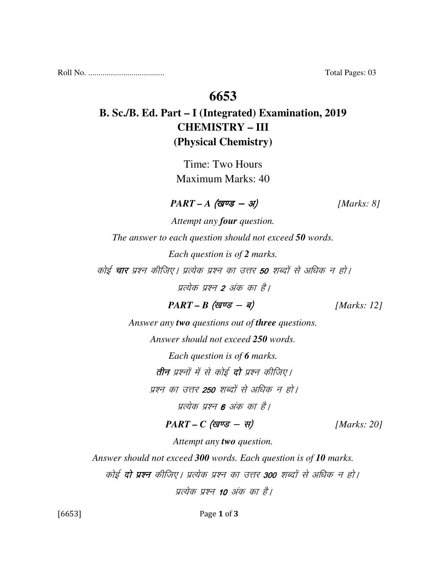Roll No. ..................................... Total Pages: 03

## **6653**

# **B. Sc./B. Ed. Part – I (Integrated) Examination, 2019 CHEMISTRY – III (Physical Chemistry)**

Time: Two Hours Maximum Marks: 40

 $\textit{PART - A} \text{ (gug - 3)}$  [Marks: 8]

*Attempt any four question. The answer to each question should not exceed 50 words. Each question is of 2 marks.*  कोई **चार** प्रश्न कीजिए। प्रत्येक प्रश्न का उत्तर **50** शब्दों से अधिक न हो। प्रत्येक प्रश्न 2 अंक का है।

 $PART - B$  (*खण्ड* - *ब*) [*Marks: 12*]

*Answer any two questions out of three questions.* 

*Answer should not exceed 250 words.* 

*Each question is of 6 marks.* 

तीन प्रश्नों में से कोई दो प्रश्न कीजिए।

प्रश्न का उत्तर **250** शब्दों से अधिक न हो।

प्रत्येक प्रश्न 6 अंक का है।

 $PART - C$  (खण्ड - स) [Marks: 20]

*Attempt any two question.* 

*Answer should not exceed 300 words. Each question is of 10 marks.* 

कोई **दो प्रश्न** कीजिए। प्रत्येक प्रश्न का उत्तर **300** शब्दों से अधिक न हो।

पत्येक पश्न 10 अंक का है।

[6653] Page 1 of 3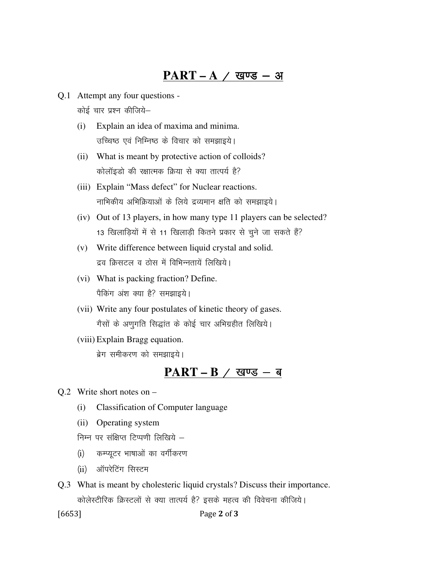#### $PART - A / Q$  खण्ड - अ

- Q.1 Attempt any four questions कोई चार प्रश्न कीजिये-
	- (i) Explain an idea of maxima and minima. उच्चिष्ठ एवं निम्निष्ठ के विचार को समझाइये।
	- (ii) What is meant by protective action of colloids? कोलॉइडो की रक्षात्मक क्रिया से क्या तात्पर्य है?
	- (iii) Explain "Mass defect" for Nuclear reactions. नाभिकीय अभिक्रियाओं के लिये द्रव्यमान क्षति को समझाइये।
	- (iv) Out of 13 players, in how many type 11 players can be selected? 13 खिलाड़ियों में से 11 खिलाड़ी कितने प्रकार से चुने जा सकते हैं?
	- (v) Write difference between liquid crystal and solid. द्रव क्रिसटल व ठोस में विभिन्नतायें लिखिये।
	- (vi) What is packing fraction? Define. पैकिंग अंश क्या है? समझाइये।
	- (vii) Write any four postulates of kinetic theory of gases. गैसों के अणुगति सिद्धांत के कोई चार अभिग्रहीत लिखिये।
	- (viii) Explain Bragg equation. ब्रेग समीकरण को समझाइये।

## $\mathbf{PART} - \mathbf{B}$  / खण्ड - ब

- Q.2 Write short notes on
	- (i) Classification of Computer language
	- (ii) Operating system
	- निम्न पर संक्षिप्त टिप्पणी लिखिये –
	- (i) कम्प्यूटर भाषाओं का वर्गीकरण
	- (ii) ऑपरेटिंग सिस्टम
- Q.3 What is meant by cholesteric liquid crystals? Discuss their importance. कोलेस्टीरिक क्रिस्टलों से क्या तात्पर्य है? इसके महत्व की विवेचना कीजिये।

[6653] Page 2 of 3